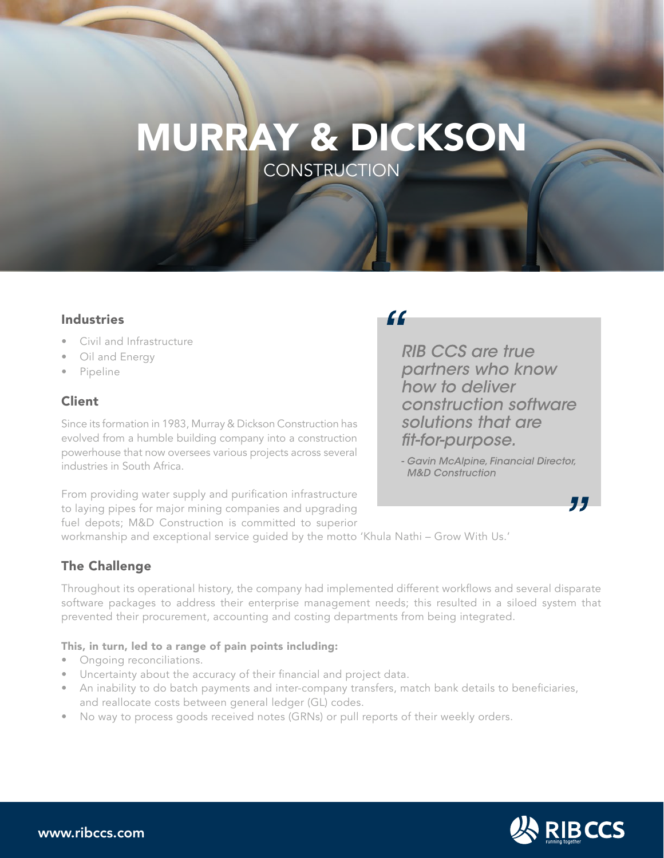# MURRAY & DICKSON **CONSTRUCTION**

#### **Industries**

- Civil and Infrastructure
- Oil and Energy
- Pipeline

## Client

Since its formation in 1983, Murray & Dickson Construction has evolved from a humble building company into a construction powerhouse that now oversees various projects across several industries in South Africa.

## "

RIB CCS are true partners who know how to deliver construction software solutions that are fit-for-purpose.

- Gavin McAlpine, Financial Director, **M&D Construction** 

From providing water supply and purification infrastructure to laying pipes for major mining companies and upgrading fuel depots; M&D Construction is committed to superior

workmanship and exceptional service guided by the motto 'Khula Nathi – Grow With Us.'

## The Challenge

Throughout its operational history, the company had implemented different workflows and several disparate software packages to address their enterprise management needs; this resulted in a siloed system that prevented their procurement, accounting and costing departments from being integrated.

#### This, in turn, led to a range of pain points including:

- Ongoing reconciliations.
- Uncertainty about the accuracy of their financial and project data.
- An inability to do batch payments and inter-company transfers, match bank details to beneficiaries, and reallocate costs between general ledger (GL) codes.
- No way to process goods received notes (GRNs) or pull reports of their weekly orders.



"